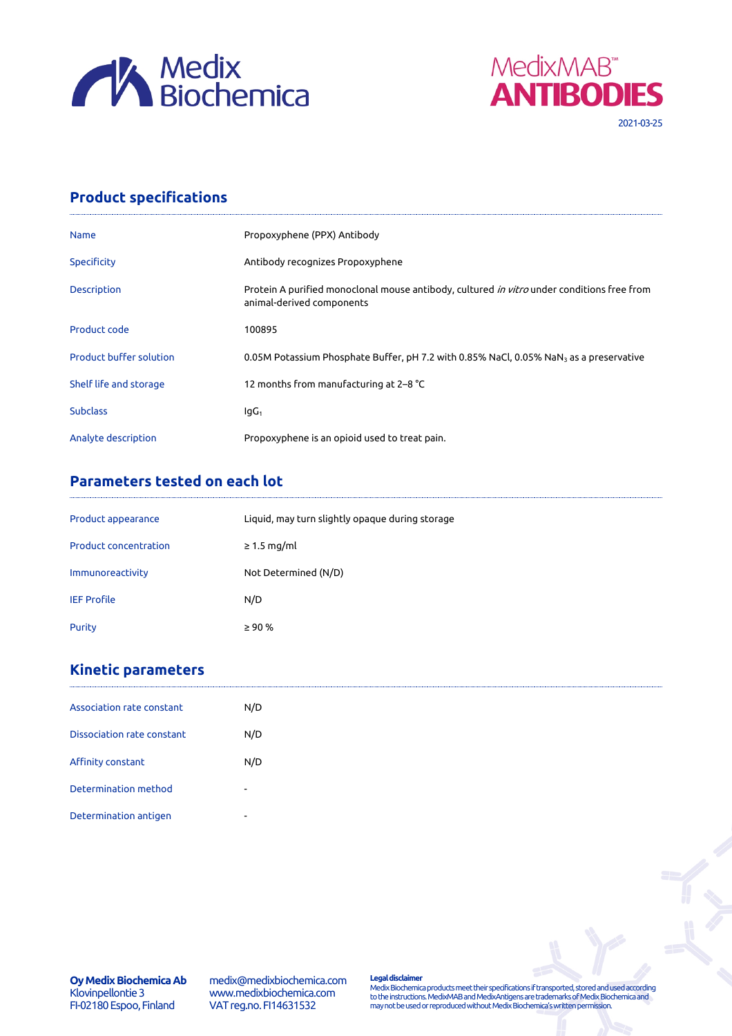



## **Product specifications**

| <b>Name</b>                    | Propoxyphene (PPX) Antibody                                                                                                    |
|--------------------------------|--------------------------------------------------------------------------------------------------------------------------------|
| Specificity                    | Antibody recognizes Propoxyphene                                                                                               |
| Description                    | Protein A purified monoclonal mouse antibody, cultured <i>in vitro</i> under conditions free from<br>animal-derived components |
| Product code                   | 100895                                                                                                                         |
| <b>Product buffer solution</b> | 0.05M Potassium Phosphate Buffer, pH 7.2 with 0.85% NaCl, 0.05% NaN <sub>3</sub> as a preservative                             |
| Shelf life and storage         | 12 months from manufacturing at 2-8 °C                                                                                         |
| <b>Subclass</b>                | $IqG_1$                                                                                                                        |
| Analyte description            | Propoxyphene is an opioid used to treat pain.                                                                                  |

## **Parameters tested on each lot**

| Product appearance           | Liquid, may turn slightly opaque during storage |
|------------------------------|-------------------------------------------------|
| <b>Product concentration</b> | $\geq$ 1.5 mg/ml                                |
| Immunoreactivity             | Not Determined (N/D)                            |
| <b>IEF Profile</b>           | N/D                                             |
| Purity                       | $\geq 90 \%$                                    |

## **Kinetic parameters**

| Association rate constant         | N/D                      |
|-----------------------------------|--------------------------|
| <b>Dissociation rate constant</b> | N/D                      |
| Affinity constant                 | N/D                      |
| Determination method              | $\overline{\phantom{a}}$ |
| Determination antigen             | $\overline{\phantom{a}}$ |

medix@medixbiochemica.com www.medixbiochemica.com VAT reg.no. FI14631532

**Legal disclaimer** Medix Biochemica products meet their specifications if transported, stored and used according to the instructions. MedixMAB and MedixAntigens are trademarks of Medix Biochemica and may not be used or reproduced without Medix Biochemica's written permission.